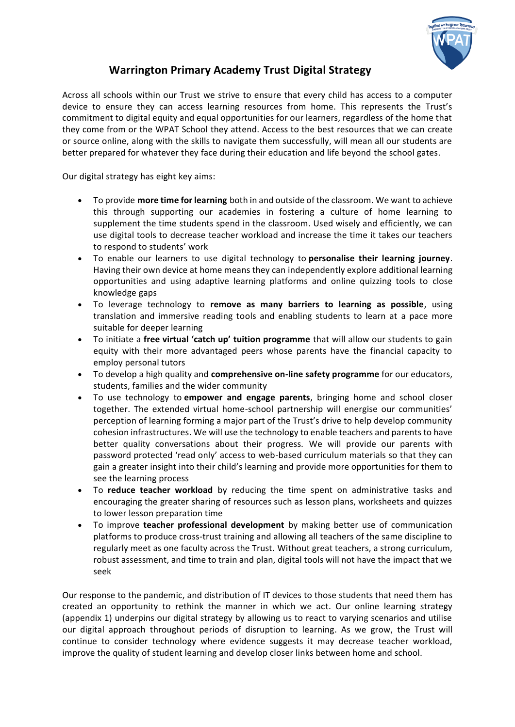

## **Warrington Primary Academy Trust Digital Strategy**

Across all schools within our Trust we strive to ensure that every child has access to a computer device to ensure they can access learning resources from home. This represents the Trust's commitment to digital equity and equal opportunities for our learners, regardless of the home that they come from or the WPAT School they attend. Access to the best resources that we can create or source online, along with the skills to navigate them successfully, will mean all our students are better prepared for whatever they face during their education and life beyond the school gates.

Our digital strategy has eight key aims:

- To provide **more time for learning** both in and outside of the classroom. We want to achieve this through supporting our academies in fostering a culture of home learning to supplement the time students spend in the classroom. Used wisely and efficiently, we can use digital tools to decrease teacher workload and increase the time it takes our teachers to respond to students' work
- To enable our learners to use digital technology to **personalise their learning journey**. Having their own device at home means they can independently explore additional learning opportunities and using adaptive learning platforms and online quizzing tools to close knowledge gaps
- To leverage technology to **remove as many barriers to learning as possible**, using translation and immersive reading tools and enabling students to learn at a pace more suitable for deeper learning
- To initiate a **free virtual 'catch up' tuition programme** that will allow our students to gain equity with their more advantaged peers whose parents have the financial capacity to employ personal tutors
- To develop a high quality and **comprehensive on-line safety programme** for our educators, students, families and the wider community
- To use technology to **empower and engage parents**, bringing home and school closer together. The extended virtual home-school partnership will energise our communities' perception of learning forming a major part of the Trust's drive to help develop community cohesion infrastructures. We will use the technology to enable teachers and parents to have better quality conversations about their progress. We will provide our parents with password protected 'read only' access to web-based curriculum materials so that they can gain a greater insight into their child's learning and provide more opportunities for them to see the learning process
- To **reduce teacher workload** by reducing the time spent on administrative tasks and encouraging the greater sharing of resources such as lesson plans, worksheets and quizzes to lower lesson preparation time
- To improve **teacher professional development** by making better use of communication platforms to produce cross-trust training and allowing all teachers of the same discipline to regularly meet as one faculty across the Trust. Without great teachers, a strong curriculum, robust assessment, and time to train and plan, digital tools will not have the impact that we seek

Our response to the pandemic, and distribution of IT devices to those students that need them has created an opportunity to rethink the manner in which we act. Our online learning strategy (appendix 1) underpins our digital strategy by allowing us to react to varying scenarios and utilise our digital approach throughout periods of disruption to learning. As we grow, the Trust will continue to consider technology where evidence suggests it may decrease teacher workload, improve the quality of student learning and develop closer links between home and school.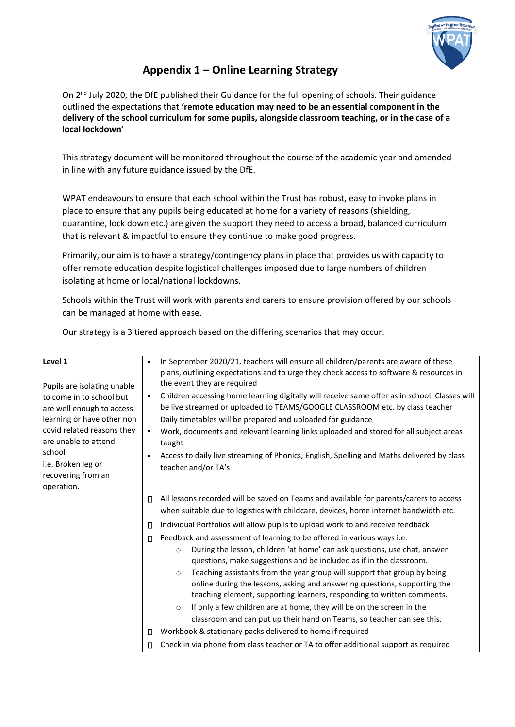

## **Appendix 1 – Online Learning Strategy**

On 2<sup>nd</sup> July 2020, the DfE published their Guidance for the full opening of schools. Their guidance outlined the expectations that **'remote education may need to be an essential component in the delivery of the school curriculum for some pupils, alongside classroom teaching, or in the case of a local lockdown'** 

This strategy document will be monitored throughout the course of the academic year and amended in line with any future guidance issued by the DfE.

WPAT endeavours to ensure that each school within the Trust has robust, easy to invoke plans in place to ensure that any pupils being educated at home for a variety of reasons (shielding, quarantine, lock down etc.) are given the support they need to access a broad, balanced curriculum that is relevant & impactful to ensure they continue to make good progress.

Primarily, our aim is to have a strategy/contingency plans in place that provides us with capacity to offer remote education despite logistical challenges imposed due to large numbers of children isolating at home or local/national lockdowns.

Schools within the Trust will work with parents and carers to ensure provision offered by our schools can be managed at home with ease.

Our strategy is a 3 tiered approach based on the differing scenarios that may occur.

| Level 1<br>Pupils are isolating unable<br>to come in to school but<br>are well enough to access<br>learning or have other non<br>covid related reasons they<br>are unable to attend<br>school<br>i.e. Broken leg or<br>recovering from an<br>operation. | $\bullet$<br>$\bullet$<br>$\bullet$<br>$\bullet$ | In September 2020/21, teachers will ensure all children/parents are aware of these<br>plans, outlining expectations and to urge they check access to software & resources in<br>the event they are required<br>Children accessing home learning digitally will receive same offer as in school. Classes will<br>be live streamed or uploaded to TEAMS/GOOGLE CLASSROOM etc. by class teacher<br>Daily timetables will be prepared and uploaded for guidance<br>Work, documents and relevant learning links uploaded and stored for all subject areas<br>taught<br>Access to daily live streaming of Phonics, English, Spelling and Maths delivered by class<br>teacher and/or TA's |
|---------------------------------------------------------------------------------------------------------------------------------------------------------------------------------------------------------------------------------------------------------|--------------------------------------------------|------------------------------------------------------------------------------------------------------------------------------------------------------------------------------------------------------------------------------------------------------------------------------------------------------------------------------------------------------------------------------------------------------------------------------------------------------------------------------------------------------------------------------------------------------------------------------------------------------------------------------------------------------------------------------------|
|                                                                                                                                                                                                                                                         | П                                                | All lessons recorded will be saved on Teams and available for parents/carers to access<br>when suitable due to logistics with childcare, devices, home internet bandwidth etc.                                                                                                                                                                                                                                                                                                                                                                                                                                                                                                     |
|                                                                                                                                                                                                                                                         | П                                                | Individual Portfolios will allow pupils to upload work to and receive feedback                                                                                                                                                                                                                                                                                                                                                                                                                                                                                                                                                                                                     |
|                                                                                                                                                                                                                                                         | П.                                               | Feedback and assessment of learning to be offered in various ways i.e.<br>During the lesson, children 'at home' can ask questions, use chat, answer<br>$\circ$<br>questions, make suggestions and be included as if in the classroom.<br>Teaching assistants from the year group will support that group by being<br>$\circ$<br>online during the lessons, asking and answering questions, supporting the<br>teaching element, supporting learners, responding to written comments.<br>If only a few children are at home, they will be on the screen in the<br>$\circ$<br>classroom and can put up their hand on Teams, so teacher can see this.                                  |
|                                                                                                                                                                                                                                                         | П                                                | Workbook & stationary packs delivered to home if required                                                                                                                                                                                                                                                                                                                                                                                                                                                                                                                                                                                                                          |
|                                                                                                                                                                                                                                                         | Π.                                               | Check in via phone from class teacher or TA to offer additional support as required                                                                                                                                                                                                                                                                                                                                                                                                                                                                                                                                                                                                |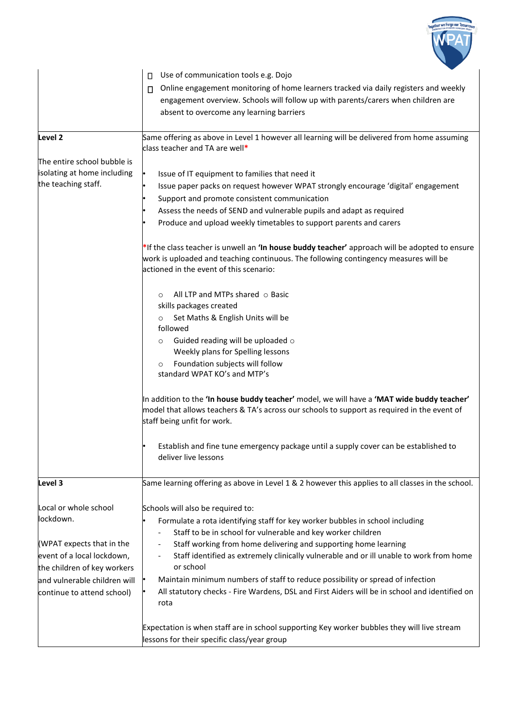

|                              | lessons for their specific class/year group                                                                                                                                                                              |  |  |
|------------------------------|--------------------------------------------------------------------------------------------------------------------------------------------------------------------------------------------------------------------------|--|--|
|                              | Expectation is when staff are in school supporting Key worker bubbles they will live stream                                                                                                                              |  |  |
| continue to attend school)   | All statutory checks - Fire Wardens, DSL and First Aiders will be in school and identified on<br>rota                                                                                                                    |  |  |
| and vulnerable children will | Maintain minimum numbers of staff to reduce possibility or spread of infection                                                                                                                                           |  |  |
| the children of key workers  | or school                                                                                                                                                                                                                |  |  |
| event of a local lockdown,   | Staff identified as extremely clinically vulnerable and or ill unable to work from home                                                                                                                                  |  |  |
| (WPAT expects that in the    | Staff working from home delivering and supporting home learning                                                                                                                                                          |  |  |
|                              | Staff to be in school for vulnerable and key worker children                                                                                                                                                             |  |  |
| lockdown.                    | Formulate a rota identifying staff for key worker bubbles in school including                                                                                                                                            |  |  |
| Local or whole school        | Schools will also be required to:                                                                                                                                                                                        |  |  |
| Level 3                      | Same learning offering as above in Level 1 & 2 however this applies to all classes in the school.                                                                                                                        |  |  |
|                              | Establish and fine tune emergency package until a supply cover can be established to<br>deliver live lessons                                                                                                             |  |  |
|                              |                                                                                                                                                                                                                          |  |  |
|                              | In addition to the 'In house buddy teacher' model, we will have a 'MAT wide buddy teacher'<br>model that allows teachers & TA's across our schools to support as required in the event of<br>staff being unfit for work. |  |  |
|                              |                                                                                                                                                                                                                          |  |  |
|                              |                                                                                                                                                                                                                          |  |  |
|                              | Foundation subjects will follow<br>$\circ$<br>standard WPAT KO's and MTP's                                                                                                                                               |  |  |
|                              | Weekly plans for Spelling lessons                                                                                                                                                                                        |  |  |
|                              | Guided reading will be uploaded o<br>$\circ$                                                                                                                                                                             |  |  |
|                              | followed                                                                                                                                                                                                                 |  |  |
|                              | Set Maths & English Units will be<br>$\circ$                                                                                                                                                                             |  |  |
|                              | All LTP and MTPs shared $\circ$ Basic<br>$\circ$<br>skills packages created                                                                                                                                              |  |  |
|                              |                                                                                                                                                                                                                          |  |  |
|                              | actioned in the event of this scenario:                                                                                                                                                                                  |  |  |
|                              | *If the class teacher is unwell an 'In house buddy teacher' approach will be adopted to ensure<br>work is uploaded and teaching continuous. The following contingency measures will be                                   |  |  |
|                              |                                                                                                                                                                                                                          |  |  |
|                              | Produce and upload weekly timetables to support parents and carers                                                                                                                                                       |  |  |
|                              | Support and promote consistent communication<br>Assess the needs of SEND and vulnerable pupils and adapt as required                                                                                                     |  |  |
|                              |                                                                                                                                                                                                                          |  |  |
| isolating at home including  | Issue of IT equipment to families that need it                                                                                                                                                                           |  |  |
| The entire school bubble is  |                                                                                                                                                                                                                          |  |  |
| Level <sub>2</sub>           | Same offering as above in Level 1 however all learning will be delivered from home assuming<br>class teacher and TA are well*                                                                                            |  |  |
|                              |                                                                                                                                                                                                                          |  |  |
|                              | absent to overcome any learning barriers                                                                                                                                                                                 |  |  |
|                              | engagement overview. Schools will follow up with parents/carers when children are                                                                                                                                        |  |  |
|                              | Online engagement monitoring of home learners tracked via daily registers and weekly<br>П                                                                                                                                |  |  |
|                              | Use of communication tools e.g. Dojo<br>$\Box$                                                                                                                                                                           |  |  |